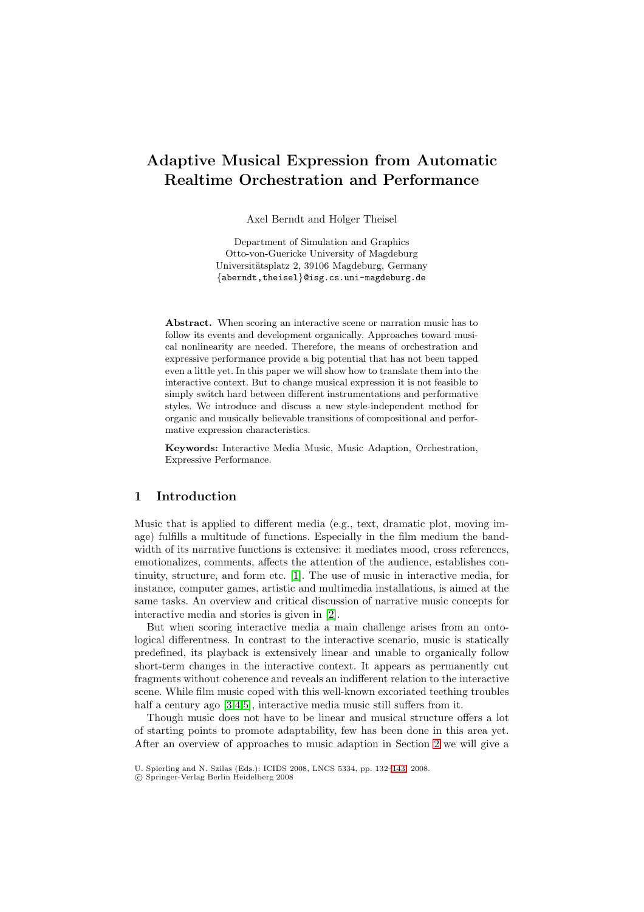# **Adaptive Musical Expression from Automatic Realtime Orchestration and Performance**

Axel Berndt and Holger Theisel

Department of Simulation and Graphics Otto-von-Guericke University of Magdeburg Universitätsplatz 2, 39106 Magdeburg, Germany {aberndt,theisel}@isg.cs.uni-magdeburg.de

**Abstract.** When scoring an interactive scene or narration music has to follow its events and development organically. Approaches toward musical nonlinearity are needed. Therefore, the means of orchestration and expressive performance provide a big potential that has not been tapped even a little yet. In this paper we will show how to translate them into the interactive context. But to change musical expression it is not feasible to simply switch hard between different instrumentations and performative styles. We introduce and discuss a new style-independent method for organic and musically believable transitions of compositional and performative expression characteristics.

**Keywords:** Interactive Media Music, Music Adaption, Orchestration, Expressive Performance.

# **1 Introduction**

Music that is applied to different media (e.g., text, dramatic plot, moving image) fulfills a multitude of functions. Especially in the film medium the bandwidth of its narrative functions is extensive: it mediates mood, cross references, emotionalizes, comments, affects the attention of the audience, establishes continuity, structure, and form etc. [1]. The use of music in interactive media, for instance, computer games, artistic and multimedia installations, is aimed at the same tasks. An overview and critical discussion of narrative music concepts for interactive media and stories is given in [2].

But when scoring interactive [m](#page-9-0)edia a main challenge arises from an ontological differentness. In contrast to the interactive scenario, music is statically predefined, its playback is extensively linear and unable to organically follow short-term changes in the interactive c[ont](#page-9-1)ext. It appears as permanently cut fragments without coherence and reveals an indifferent relation to the interactive scene. While film music coped with this well-known excoriated teething troubles half a century ago [3,4,5], interactive media music still suffers from it.

Though music does not have to be linear and musical structure offers a lot of starting points to promote adaptability, few has been done in this area yet. After an overview of approaches to music adaption in Section 2 we will give a

U. Spierling and N. Szilas (Eds.): ICIDS 2008, LNCS 5334, pp. 132–143, 2008.

<sup>-</sup>c Springer-Verlag Berlin Heidelberg 2008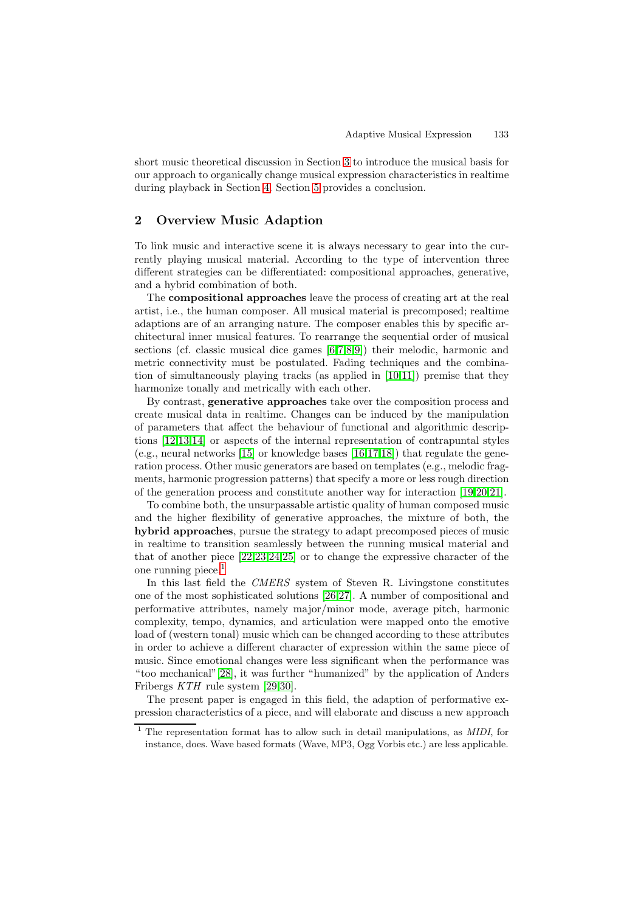short music theoretical discussion in Section 3 to introduce the musical basis for our approach to organically change musical expression characteristics in realtime during playback in Section 4. Section 5 provides a conclusion.

# **2 Overview Music Adaption**

To link music and interact[ive](#page-4-0) scene i[t](#page-9-2) [i](#page-9-2)s always necessary to gear into the currently playing musical material. According to the type of intervention three different strategies can be differentiated: compositional approaches, generative, and a hybrid combination of both.

The **compositional approaches** leave the process of creating art at the real artist, i.e., the human composer. All musical material is precomposed; realtime adaptions are of an arranging nature. The composer enables this by specific architectural inner musical features. To rearrange the sequential order of musical sections (cf. classic musical dice games [6,7,8,9]) their melodic, harmonic and metric connectivity must be postulated. Fading techniques and the combination of simultaneously playing tracks (as applied in [10,11]) premise that they harmonize tonally and metrically with each other.

By contrast, **generative approaches** [t](#page-9-3)[ak](#page-10-0)[e](#page-10-1) [ov](#page-10-2)er the composition process and create musical data in realtime. Changes can be induced by the manipulation of parameters that affect the behaviour of functiona[l a](#page-10-3)[nd](#page-10-4) algorithmic descriptions [12,13,14] or aspects of the internal representation of contrapuntal styles (e.g., neural networks [15] or knowledge bases [16,17,18]) that regulate the generation process. Other music generators are based on templates (e.g., melodic fragments, harmonic progression patterns) that specify a more or less rough direction of the [ge](#page-10-5)[ner](#page-10-6)[atio](#page-10-7)n process and constitute another way for interaction [19,20,21].

To combine both, t[he u](#page-10-8)nsurpassable artistic [qu](#page-10-9)[alit](#page-10-10)[y o](#page-10-11)f human composed music and the higher flexibility of generative approaches, the mixture of both, the **hybrid approaches**, pursue the strategy to adapt precomposed pieces of music in realtime to transition seamlessly between the running musical m[ater](#page-10-12)[ial](#page-10-13) [an](#page-10-14)d that of another piece [22,23,24,25] or to change the expressive character of the one running piece.<sup>1</sup>

In this last field the CMERS system of Steven R. Livingstone constitutes one of the most sophisticated solutions [26,27]. A number of compositional and performative attribut[es,](#page-10-15) [na](#page-10-16)[me](#page-10-17)[ly m](#page-11-0)ajor/minor mode, average pitch, harmonic complexity, temp[o,](#page-1-0) dynamics, and articulation were mapped onto the emotive load of (western tonal) music which can be changed according to these attributes in order to achieve a different character [of](#page-11-1) [exp](#page-11-2)ression within the same piece of music. Since emotional changes were less significant when the performance was "too mechanical"[28], it was further "humanized" by the application of Anders Fribergs KTH rule system [29,30].

The present paper is engaged in this field, the adaption of performative expression characteristics of a piece, and will elaborate and discuss a new approach

<span id="page-1-0"></span><sup>&</sup>lt;sup>1</sup> The representati[on](#page-11-3) format has to allow such in detail manipulations, as *MIDI*, for instance, does. Wave based [for](#page-11-4)[mats](#page-11-5) (Wave, MP3, Ogg Vorbis etc.) are less applicable.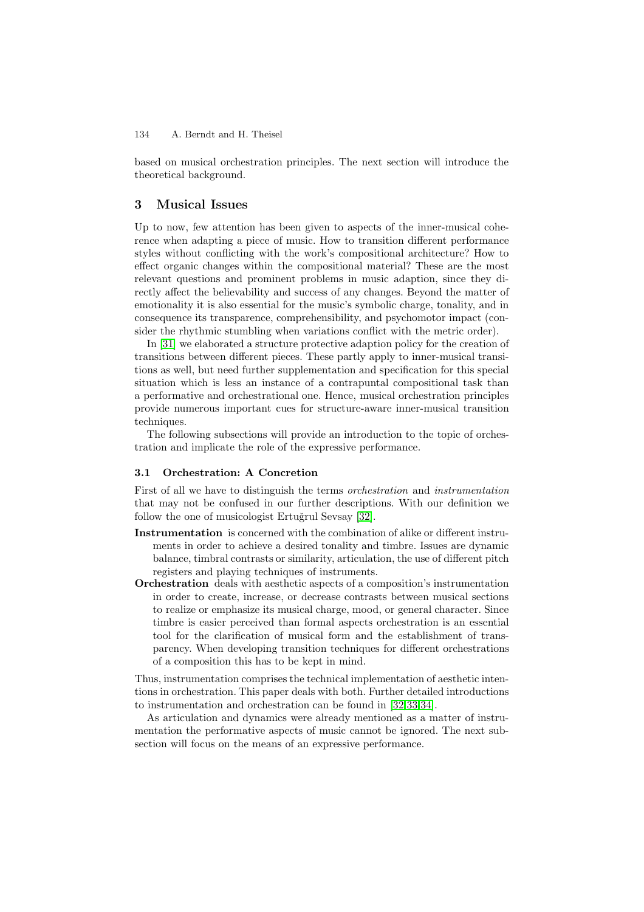based on musical orchestration principles. The next section will introduce the theoretical background.

# **3 Musical Issues**

<span id="page-2-0"></span>Up to now, few attention has been given to aspects of the inner-musical coherence when adapting a piece of music. How to transition different performance styles without conflicting with the work's compositional architecture? How to effect organic changes within the compositional material? These are the most relevant questions and prominent problems in music adaption, since they directly affect the believability and success of any changes. Beyond the matter of emotionality it is also essential for the music's symbolic charge, tonality, and in consequence its transparence, comprehensibility, and psychomotor impact (consider the rhythmic stumbling when variations conflict with the metric order).

In [31] we elaborated a structure protective adaption policy for the creation of transitions between different pieces. These partly apply to inner-musical transitions as well, but need further supplementation and specification for this special situation which is less an instance of a contrapuntal compositional task than a per[form](#page-11-6)ative and orchestrational one. Hence, musical orchestration principles provide numerous important cues for structure-aware inner-musical transition techniques.

The following subsections will provide an introduction to the topic of orchestration and implicate the role of the expressive performance.

## **3.1 Orchestration: A Concretion**

First of all we have to distinguish the terms orchestration and instrumentation that may not be confused in our further descriptions. With our definition we follow the one of musicologist Ertuğrul Sevsay [32].

- **Instrumentation** is concerned with the combination of alike or different instruments in order to achieve a desired tonality and timbre. Issues are dynamic balance, timbral contrasts or similarity, articulation, the use of different pitch registers and playing techniques of instrum[ents](#page-11-7).
- **Orchestration** deals with aesthetic aspects of a composition's instrumentation in order to create, increase, or decrease contrasts between musical sections to realize or emphasize its musical charge, mood, or general character. Since timbre is easier perceived than formal aspects orchestration is an essential tool for the clarification of musical form and the establishment of transparency. When developing transition techniques for different orchestrations of a composition this has to be kept in mind.

Thus, instrumentation comprises the technical implementation of aesthetic intentions in orchestration. This paper deals with both. Further detailed introductions to instrumentation and orchestration can be found in [32,33,34].

As articulation and dynamics were already mentioned as a matter of instrumentation the performative aspects of music cannot be ignored. The next subsection will focus on the means of an expressive performance.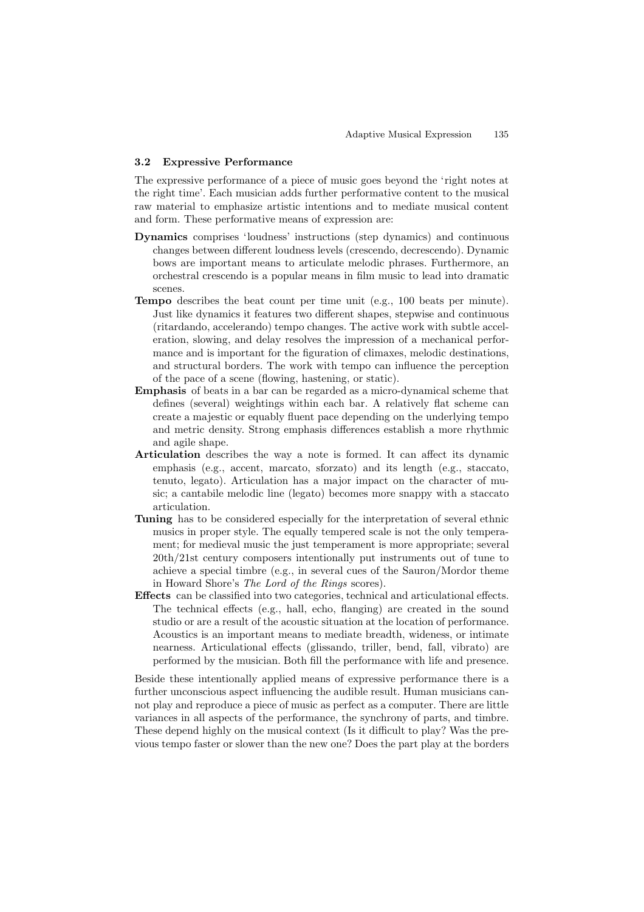## **3.2 Expressive Performance**

The expressive performance of a piece of music goes beyond the 'right notes at the right time'. Each musician adds further performative content to the musical raw material to emphasize artistic intentions and to mediate musical content and form. These performative means of expression are:

- **Dynamics** comprises 'loudness' instructions (step dynamics) and continuous changes between different loudness levels (crescendo, decrescendo). Dynamic bows are important means to articulate melodic phrases. Furthermore, an orchestral crescendo is a popular means in film music to lead into dramatic scenes.
- **Tempo** describes the beat count per time unit (e.g., 100 beats per minute). Just like dynamics it features two different shapes, stepwise and continuous (ritardando, accelerando) tempo changes. The active work with subtle acceleration, slowing, and delay resolves the impression of a mechanical performance and is important for the figuration of climaxes, melodic destinations, and structural borders. The work with tempo can influence the perception of the pace of a scene (flowing, hastening, or static).
- **Emphasis** of beats in a bar can be regarded as a micro-dynamical scheme that defines (several) weightings within each bar. A relatively flat scheme can create a majestic or equably fluent pace depending on the underlying tempo and metric density. Strong emphasis differences establish a more rhythmic and agile shape.
- **Articulation** describes the way a note is formed. It can affect its dynamic emphasis (e.g., accent, marcato, sforzato) and its length (e.g., staccato, tenuto, legato). Articulation has a major impact on the character of music; a cantabile melodic line (legato) becomes more snappy with a staccato articulation.
- **Tuning** has to be considered especially for the interpretation of several ethnic musics in proper style. The equally tempered scale is not the only temperament; for medieval music the just temperament is more appropriate; several 20th/21st century composers intentionally put instruments out of tune to achieve a special timbre (e.g., in several cues of the Sauron/Mordor theme in Howard Shore's The Lord of the Rings scores).
- **Effects** can be classified into two categories, technical and articulational effects. The technical effects (e.g., hall, echo, flanging) are created in the sound studio or are a result of the acoustic situation at the location of performance. Acoustics is an important means to mediate breadth, wideness, or intimate nearness. Articulational effects (glissando, triller, bend, fall, vibrato) are performed by the musician. Both fill the performance with life and presence.

Beside these intentionally applied means of expressive performance there is a further unconscious aspect influencing the audible result. Human musicians cannot play and reproduce a piece of music as perfect as a computer. There are little variances in all aspects of the performance, the synchrony of parts, and timbre. These depend highly on the musical context (Is it difficult to play? Was the previous tempo faster or slower than the new one? Does the part play at the borders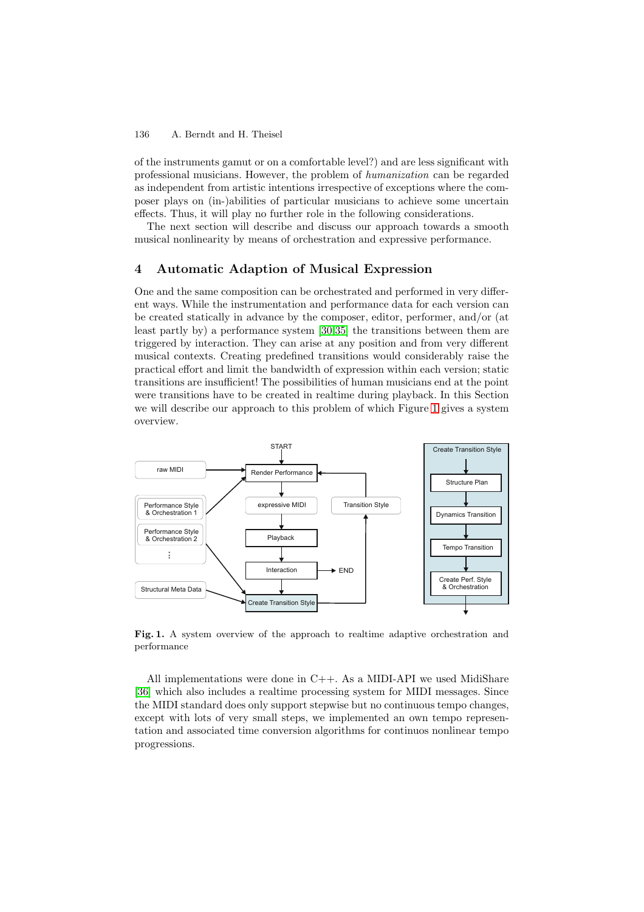of the instruments gamut or on a comfortable level?) and are less significant with professional musicians. However, the problem of humanization can be regarded as independent from artistic intentions irrespective of exceptions where the composer plays on (in-)abilities of particular musicians to achieve some uncertain effects. Thus, it will play no further role in the following considerations.

The next section will describe and discuss our approach towards a smooth musical nonlinearity by means of orchestration and expressive performance.

# **4 Automatic Adaption of Musical Expression**

<span id="page-4-0"></span>One and the same composition can be orchestrated and performed in very different ways. While the instrumentation and performance data for each version can be created statically in advance by the composer, editor, performer, and/or (at least partly by) a performance system [30,35] the transitions between them are triggered by interaction. They can arise at any position and from very different musical contexts. Creating predefined transitions would considerably raise the practical effort and limit the bandwidth of expression within each version; static transitions are insufficient! The possibil[itie](#page-11-5)[s of](#page-11-8) human musicians end at the point were transitions have to be created in realtime during playback. In this Section we will describe our approach to this problem of which Figure 1 gives a system overview.



**Fig. 1.** A system overview of the approach to realtime adaptive orchestration and performance

All implementations were done in  $C++$ . As a MIDI-API we used MidiShare [36] which also includes a realtime processing system for MIDI messages. Since the MIDI standard does only support stepwise but no continuous tempo changes, except with lots of very small steps, we implemented an own tempo representation and associated time conversion algorithms for continuos nonlinear tempo [pro](#page-11-9)gressions.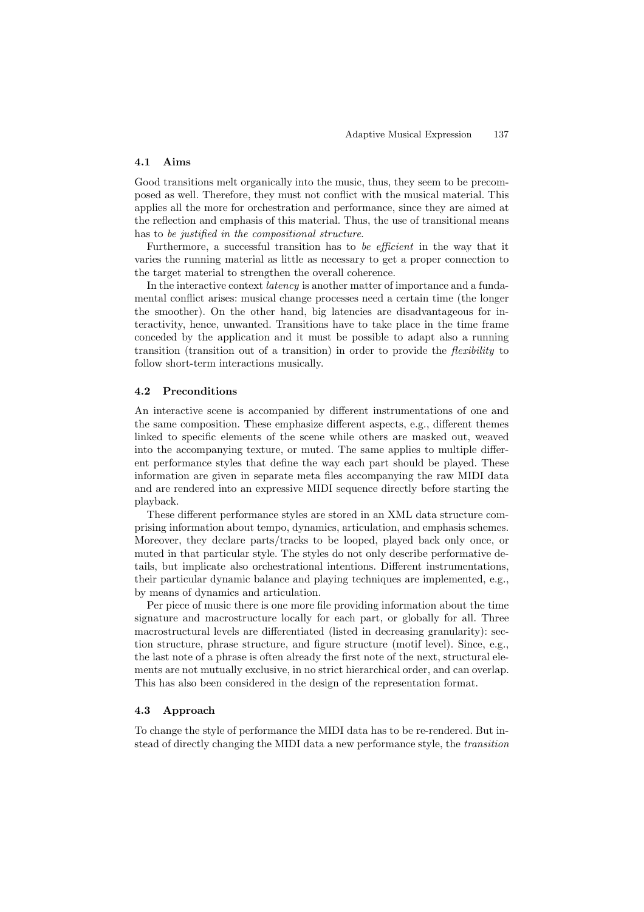## <span id="page-5-0"></span>**4.1 Aims**

Good transitions melt organically into the music, thus, they seem to be precomposed as well. Therefore, they must not conflict with the musical material. This applies all the more for orchestration and performance, since they are aimed at the reflection and emphasis of this material. Thus, the use of transitional means has to be justified in the compositional structure.

Furthermore, a successful transition has to be efficient in the way that it varies the running material as little as necessary to get a proper connection to the target material to strengthen the overall coherence.

In the interactive context latency is another matter of importance and a fundamental conflict arises: musical change processes need a certain time (the longer the smoother). On the other hand, big latencies are disadvantageous for interactivity, hence, unwanted. Transitions have to take place in the time frame conceded by the application and it must be possible to adapt also a running transition (transition out of a transition) in order to provide the flexibility to follow short-term interactions musically.

#### **4.2 Preconditions**

An interactive scene is accompanied by different instrumentations of one and the same composition. These emphasize different aspects, e.g., different themes linked to specific elements of the scene while others are masked out, weaved into the accompanying texture, or muted. The same applies to multiple different performance styles that define the way each part should be played. These information are given in separate meta files accompanying the raw MIDI data and are rendered into an expressive MIDI sequence directly before starting the playback.

These different performance styles are stored in an XML data structure comprising information about tempo, dynamics, articulation, and emphasis schemes. Moreover, they declare parts/tracks to be looped, played back only once, or muted in that particular style. The styles do not only describe performative details, but implicate also orchestrational intentions. Different instrumentations, their particular dynamic balance and playing techniques are implemented, e.g., by means of dynamics and articulation.

Per piece of music there is one more file providing information about the time signature and macrostructure locally for each part, or globally for all. Three macrostructural levels are differentiated (listed in decreasing granularity): section structure, phrase structure, and figure structure (motif level). Since, e.g., the last note of a phrase is often already the first note of the next, structural elements are not mutually exclusive, in no strict hierarchical order, and can overlap. This has also been considered in the design of the representation format.

# **4.3 Approach**

To change the style of performance the MIDI data has to be re-rendered. But instead of directly changing the MIDI data a new performance style, the transition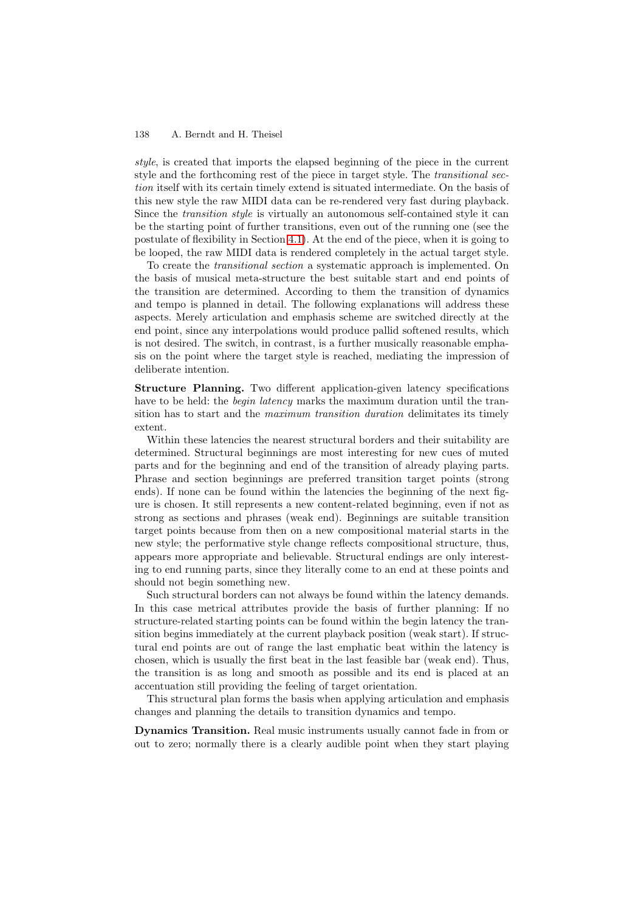style, is created that imports the elapsed beginning of the piece in the current style and the forthcoming rest of the piece in target style. The *transitional sec*tion itself with its certain timely extend is situated intermediate. On the basis of this new style the raw MIDI data can be re-rendered very fast during playback. Since the transition style is virtually an autonomous self-contained style it can be the starting point of further transitions, even out of the running one (see the postulate of flexibility in Section 4.1). At the end of the piece, when it is going to be looped, the raw MIDI data is rendered completely in the actual target style.

To create the transitional section a systematic approach is implemented. On the basis of musical meta-structure the best suitable start and end points of the transition are determined. [Acco](#page-5-0)rding to them the transition of dynamics and tempo is planned in detail. The following explanations will address these aspects. Merely articulation and emphasis scheme are switched directly at the end point, since any interpolations would produce pallid softened results, which is not desired. The switch, in contrast, is a further musically reasonable emphasis on the point where the target style is reached, mediating the impression of deliberate intention.

**Structure Planning.** Two different application-given latency specifications have to be held: the *begin latency* marks the maximum duration until the transition has to start and the *maximum transition duration* delimitates its timely extent.

Within these latencies the nearest structural borders and their suitability are determined. Structural beginnings are most interesting for new cues of muted parts and for the beginning and end of the transition of already playing parts. Phrase and section beginnings are preferred transition target points (strong ends). If none can be found within the latencies the beginning of the next figure is chosen. It still represents a new content-related beginning, even if not as strong as sections and phrases (weak end). Beginnings are suitable transition target points because from then on a new compositional material starts in the new style; the performative style change reflects compositional structure, thus, appears more appropriate and believable. Structural endings are only interesting to end running parts, since they literally come to an end at these points and should not begin something new.

Such structural borders can not always be found within the latency demands. In this case metrical attributes provide the basis of further planning: If no structure-related starting points can be found within the begin latency the transition begins immediately at the current playback position (weak start). If structural end points are out of range the last emphatic beat within the latency is chosen, which is usually the first beat in the last feasible bar (weak end). Thus, the transition is as long and smooth as possible and its end is placed at an accentuation still providing the feeling of target orientation.

This structural plan forms the basis when applying articulation and emphasis changes and planning the details to transition dynamics and tempo.

**Dynamics Transition.** Real music instruments usually cannot fade in from or out to zero; normally there is a clearly audible point when they start playing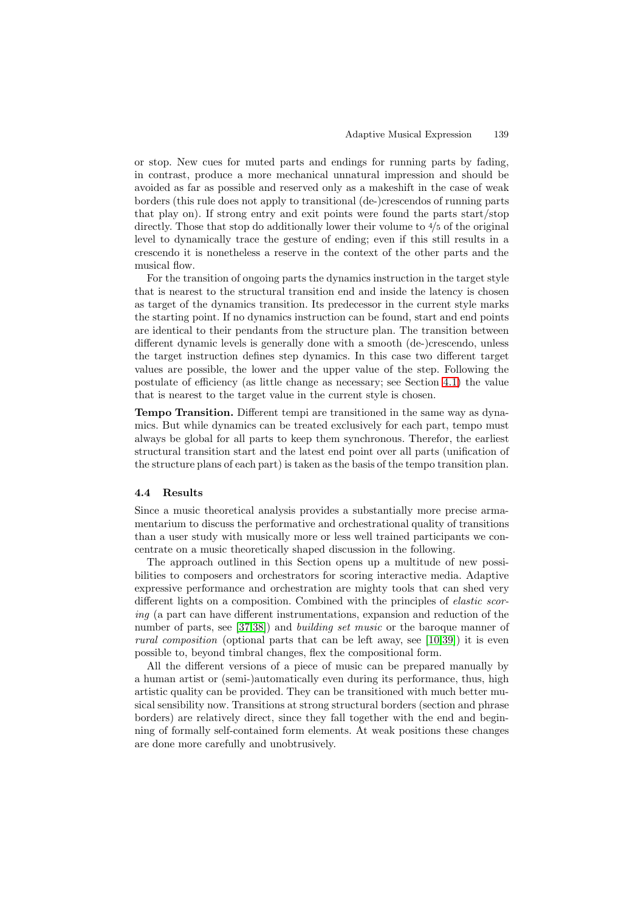or stop. New cues for muted parts and endings for running parts by fading, in contrast, produce a more mechanical unnatural impression and should be avoided as far as possible and reserved only as a makeshift in the case of weak borders (this rule does not apply to transitional (de-)crescendos of running parts that play on). If strong entry and exit points were found the parts start/stop directly. Those that stop do additionally lower their volume to  $\frac{4}{5}$  of the original level to dynamically trace the gesture of ending; even if this still results in a crescendo it is nonetheless a reserve in the context of the other parts and the musical flow.

For the transition of ongoing parts the dynamics instruction in the target style that is nearest to the structural transition end and inside the latency is chosen as target of the dynamics transition. Its predecessor in the current style marks the starting point. If no dynamics instruction can be found, start and end points are identical to their pendants from the structure plan. The transition between different dynamic levels is generally done with a smooth (de-)crescendo, unless the target instruction defines step dynamics. In this case two different target values are possible, the lower and the upper value of the step. Following the postulate of efficiency (as little change as necessary; see Section 4.1) the value that is nearest to the target value in the current style is chosen.

**Tempo Transition.** Different tempi are transitioned in the same way as dynamics. But while dynamics can be treated exclusively for each part, tempo must always be global for all parts to keep them synchronous. Theref[or,](#page-5-0) [t](#page-5-0)he earliest structural transition start and the latest end point over all parts (unification of the structure plans of each part) is taken as the basis of the tempo transition plan.

## **4.4 Results**

Since a music theoretical analysis provides a substantially more precise armamentarium to discuss the performative and orchestrational quality of transitions than a user study with musically more or less well trained participants we concentrate on a music theoretically shaped discussion in the following.

The approach outlined in this Section opens up a multitude of new possibilities to composers and orchestrators for scoring interactive media. Adaptive expressive performance and orchestration are mighty tools that can shed very different lights on a composition. Combined with the principles of *elastic scor*ing (a part can have different instrumentations, expansion and reduction of the number of parts, see [37,38]) and *building set music* or the baroque manner of rural composition (optional parts that can be left away, see [10,39]) it is even possible to, beyond timbral changes, flex the compositional form.

All the different versions of a piece of music can be prepared manually by a human artist or (se[mi-](#page-11-10)[\)au](#page-11-11)tomatically even during its performance, thus, high artistic quality can be provided. They can be transitioned wit[h m](#page-10-3)[uch](#page-11-12) better musical sensibility now. Transitions at strong structural borders (section and phrase borders) are relatively direct, since they fall together with the end and beginning of formally self-contained form elements. At weak positions these changes are done more carefully and unobtrusively.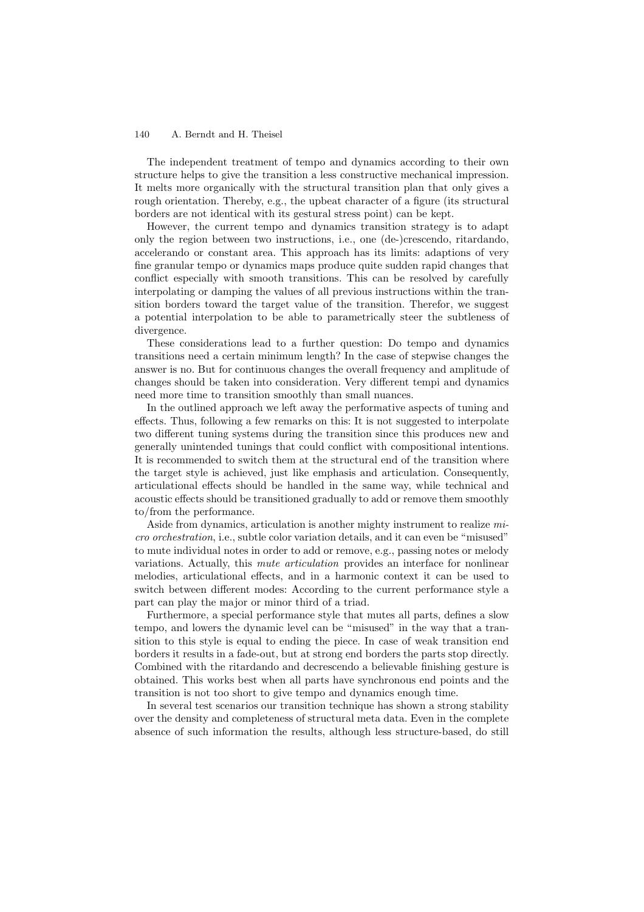The independent treatment of tempo and dynamics according to their own structure helps to give the transition a less constructive mechanical impression. It melts more organically with the structural transition plan that only gives a rough orientation. Thereby, e.g., the upbeat character of a figure (its structural borders are not identical with its gestural stress point) can be kept.

However, the current tempo and dynamics transition strategy is to adapt only the region between two instructions, i.e., one (de-)crescendo, ritardando, accelerando or constant area. This approach has its limits: adaptions of very fine granular tempo or dynamics maps produce quite sudden rapid changes that conflict especially with smooth transitions. This can be resolved by carefully interpolating or damping the values of all previous instructions within the transition borders toward the target value of the transition. Therefor, we suggest a potential interpolation to be able to parametrically steer the subtleness of divergence.

These considerations lead to a further question: Do tempo and dynamics transitions need a certain minimum length? In the case of stepwise changes the answer is no. But for continuous changes the overall frequency and amplitude of changes should be taken into consideration. Very different tempi and dynamics need more time to transition smoothly than small nuances.

In the outlined approach we left away the performative aspects of tuning and effects. Thus, following a few remarks on this: It is not suggested to interpolate two different tuning systems during the transition since this produces new and generally unintended tunings that could conflict with compositional intentions. It is recommended to switch them at the structural end of the transition where the target style is achieved, just like emphasis and articulation. Consequently, articulational effects should be handled in the same way, while technical and acoustic effects should be transitioned gradually to add or remove them smoothly to/from the performance.

Aside from dynamics, articulation is another mighty instrument to realize micro orchestration, i.e., subtle color variation details, and it can even be "misused" to mute individual notes in order to add or remove, e.g., passing notes or melody variations. Actually, this mute articulation provides an interface for nonlinear melodies, articulational effects, and in a harmonic context it can be used to switch between different modes: According to the current performance style a part can play the major or minor third of a triad.

Furthermore, a special performance style that mutes all parts, defines a slow tempo, and lowers the dynamic level can be "misused" in the way that a transition to this style is equal to ending the piece. In case of weak transition end borders it results in a fade-out, but at strong end borders the parts stop directly. Combined with the ritardando and decrescendo a believable finishing gesture is obtained. This works best when all parts have synchronous end points and the transition is not too short to give tempo and dynamics enough time.

In several test scenarios our transition technique has shown a strong stability over the density and completeness of structural meta data. Even in the complete absence of such information the results, although less structure-based, do still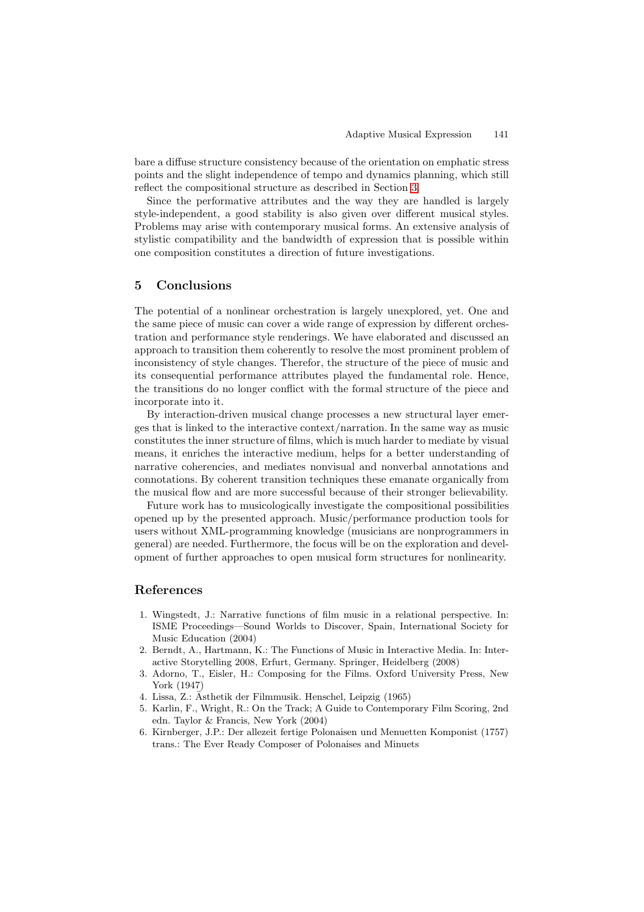bare a diffuse structure consistency because of the orientation on emphatic stress points and the slight independence of tempo and dynamics planning, which still reflect the compositional structure as described in Section 3.

Since the performative attributes and the way they are handled is largely style-independent, a good stability is also given over different musical styles. Problems may arise with contemporary musical forms. An extensive analysis of stylistic compatibility and the bandwidth of expression t[ha](#page-2-0)t is possible within one composition constitutes a direction of future investigations.

# **5 Conclusions**

<span id="page-9-2"></span>The potential of a nonlinear orchestration is largely unexplored, yet. One and the same piece of music can cover a wide range of expression by different orchestration and performance style renderings. We have elaborated and discussed an approach to transition them coherently to resolve the most prominent problem of inconsistency of style changes. Therefor, the structure of the piece of music and its consequential performance attributes played the fundamental role. Hence, the transitions do no longer conflict with the formal structure of the piece and incorporate into it.

By interaction-driven musical change processes a new structural layer emerges that is linked to the interactive context/narration. In the same way as music constitutes the inner structure of films, which is much harder to mediate by visual means, it enriches the interactive medium, helps for a better understanding of narrative coherencies, and mediates nonvisual and nonverbal annotations and connotations. By coherent transition techniques these emanate organically from the musical flow and are more successful because of their stronger believability.

Future work has to musicologically investigate the compositional possibilities opened up by the presented approach. Music/performance production tools for users without XML-programming knowledge (musicians are nonprogrammers in general) are needed. Furthermore, the focus will be on the exploration and development of further approaches to open musical form structures for nonlinearity.

# **References**

- 1. Wingstedt, J.: Narrative functions of film music in a relational perspective. In: ISME Proceedings—Sound Worlds to Discover, Spain, International Society for Music Education (2004)
- <span id="page-9-0"></span>2. Berndt, A., Hartmann, K.: The Functions of Music in Interactive Media. In: Interactive Storytelling 2008, Erfurt, Germany. Springer, Heidelberg (2008)
- 3. Adorno, T., Eisler, H.: Composing for the Films. Oxford University Press, New York (1947)
- <span id="page-9-1"></span>4. Lissa, Z.: Asthetik der Filmmusik. Henschel, Leipzig (1965) ¨
- 5. Karlin, F., Wright, R.: On the Track; A Guide to Contemporary Film Scoring, 2nd edn. Taylor & Francis, New York (2004)
- <span id="page-9-3"></span>6. Kirnberger, J.P.: Der allezeit fertige Polonaisen und Menuetten Komponist (1757) trans.: The Ever Ready Composer of Polonaises and Minuets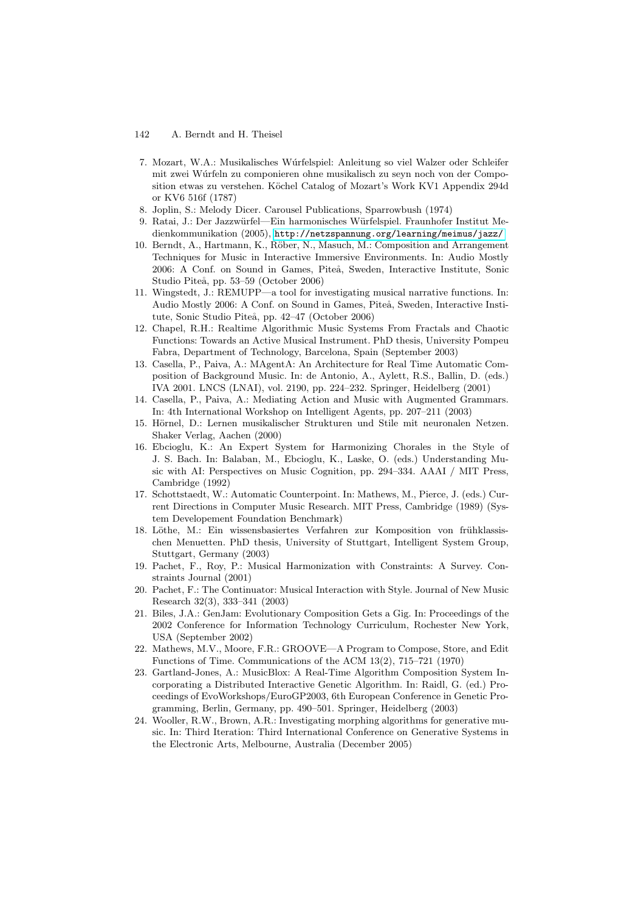- 142 A. Berndt and H. Theisel
- 7. Mozart, W.A.: Musikalisches W´urfelspiel: Anleitung so viel Walzer oder Schleifer mit zwei Wúrfeln zu componieren ohne musikalisch zu seyn noch von der Composition etwas zu verstehen. Köchel Catalog of Mozart's Work KV1 Appendix 294d or KV6 516f (1787)
- 8. Joplin, S.: Melody Dicer. Carousel Publications, Sparrowbush (1974)
- <span id="page-10-0"></span>9. Ratai, J.: Der Jazzwürfel—Ein harmonisches Würfelspiel. Fraunhofer Institut Medienkommunikation (2005), http://netzspannung.org/learning/meimus/jazz/
- <span id="page-10-2"></span><span id="page-10-1"></span>10. Berndt, A., Hartmann, K., Röber, N., Masuch, M.: Composition and Arrangement Techniques for Music in Interactive Immersive Environments. In: Audio Mostly 2006: A Conf. on Sound in Games, Piteå, Sweden, Interactive Institute, Sonic Studio Piteå, pp. 53–59 (October 2006)
- <span id="page-10-3"></span>11. Wingstedt, J.: REMUPP—[a](http://netzspannung.org/learning/meimus/jazz/) [tool](http://netzspannung.org/learning/meimus/jazz/) [for](http://netzspannung.org/learning/meimus/jazz/) [investigating](http://netzspannung.org/learning/meimus/jazz/) [musical](http://netzspannung.org/learning/meimus/jazz/) [narrative](http://netzspannung.org/learning/meimus/jazz/) [functions.](http://netzspannung.org/learning/meimus/jazz/) [In](http://netzspannung.org/learning/meimus/jazz/): Audio Mostly 2006: A Conf. on Sound in Games, Piteå, Sweden, Interactive Institute, Sonic Studio Piteå, pp. 42–47 (October 2006)
- <span id="page-10-4"></span>12. Chapel, R.H.: Realtime Algorithmic Music Systems From Fractals and Chaotic Functions: Towards an Active Musical Instrument. PhD thesis, University Pompeu Fabra, Department of Technology, Barcelona, Spain (September 2003)
- <span id="page-10-5"></span>13. Casella, P., Paiva, A.: MAgentA: An Architecture for Real Time Automatic Composition of Background Music. In: de Antonio, A., Aylett, R.S., Ballin, D. (eds.) IVA 2001. LNCS (LNAI), vol. 2190, pp. 224–232. Springer, Heidelberg (2001)
- <span id="page-10-6"></span>14. Casella, P., Paiva, A.: Mediating Action and Music with Augmented Grammars. In: 4th International Workshop on Intelligent Agents, pp. 207–211 (2003)
- 15. Hörnel, D.: Lernen musikalischer Strukturen und Stile mit neuronalen Netzen. Shaker Verlag, Aachen (2000)
- <span id="page-10-8"></span><span id="page-10-7"></span>16. Ebcioglu, K.: An Expert System for Harmonizing Chorales in the Style of J. S. Bach. In: Balaban, M., Ebcioglu, K., Laske, O. (eds.) Understanding Music with AI: Perspectives on Music Cognition, pp. 294–334. AAAI / MIT Press, Cambridge (1992)
- <span id="page-10-9"></span>17. Schottstaedt, W.: Automatic Counterpoint. In: Mathews, M., Pierce, J. (eds.) Current Directions in Computer Music Research. MIT Press, Cambridge (1989) (System Developement Foundation Benchmark)
- <span id="page-10-10"></span>18. Löthe, M.: Ein wissensbasiertes Verfahren zur Komposition von frühklassischen Menuetten. PhD thesis, University of Stuttgart, Intelligent System Group, Stuttgart, Germany (2003)
- <span id="page-10-11"></span>19. Pachet, F., Roy, P.: Musical Harmonization with Constraints: A Survey. Constraints Journal (2001)
- 20. Pachet, F.: The Continuator: Musical Interaction with Style. Journal of New Music Research 32(3), 333–341 (2003)
- <span id="page-10-12"></span>21. Biles, J.A.: GenJam: Evolutionary Composition Gets a Gig. In: Proceedings of the 2002 Conference for Information Technology Curriculum, Rochester New York, USA (September 2002)
- <span id="page-10-14"></span><span id="page-10-13"></span>22. Mathews, M.V., Moore, F.R.: GROOVE—A Program to Compose, Store, and Edit Functions of Time. Communications of the ACM 13(2), 715–721 (1970)
- <span id="page-10-15"></span>23. Gartland-Jones, A.: MusicBlox: A Real-Time Algorithm Composition System Incorporating a Distributed Interactive Genetic Algorithm. In: Raidl, G. (ed.) Proceedings of EvoWorkshops/EuroGP2003, 6th European Conference in Genetic Programming, Berlin, Germany, pp. 490–501. Springer, Heidelberg (2003)
- <span id="page-10-17"></span><span id="page-10-16"></span>24. Wooller, R.W., Brown, A.R.: Investigating morphing algorithms for generative music. In: Third Iteration: Third International Conference on Generative Systems in the Electronic Arts, Melbourne, Australia (December 2005)